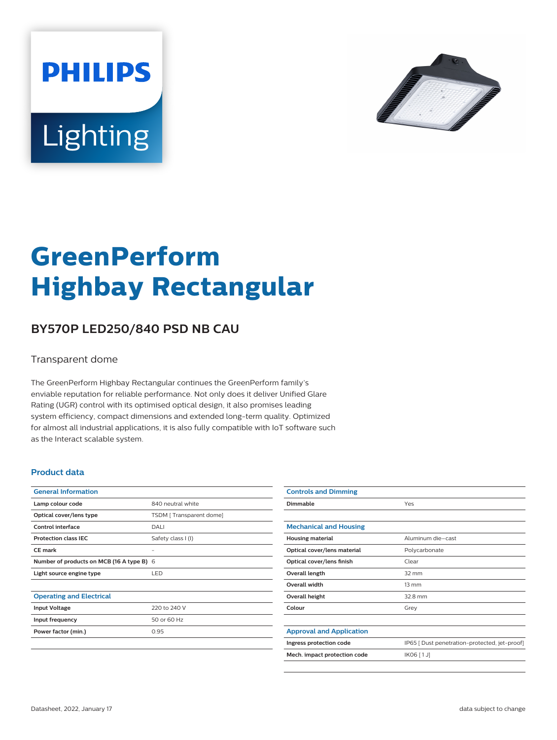



# **GreenPerform Highbay Rectangular**

## **BY570P LED250/840 PSD NB CAU**

#### Transparent dome

The GreenPerform Highbay Rectangular continues the GreenPerform family's enviable reputation for reliable performance. Not only does it deliver Unified Glare Rating (UGR) control with its optimised optical design, it also promises leading system efficiency, compact dimensions and extended long-term quality. Optimized for almost all industrial applications, it is also fully compatible with IoT software such as the Interact scalable system.

#### **Product data**

| <b>General Information</b>                |                         |
|-------------------------------------------|-------------------------|
| Lamp colour code                          | 840 neutral white       |
| Optical cover/lens type                   | TSDM [Transparent dome] |
| Control interface                         | DALI                    |
| <b>Protection class IEC</b>               | Safety class I (I)      |
| CF mark                                   |                         |
| Number of products on MCB (16 A type B) 6 |                         |
| Light source engine type                  | <b>LED</b>              |
|                                           |                         |
| <b>Operating and Electrical</b>           |                         |
| <b>Input Voltage</b>                      | 220 to 240 V            |
| Input frequency                           | 50 or 60 Hz             |
| Power factor (min.)                       | 0.95                    |
|                                           |                         |

| <b>Controls and Dimming</b>     |                                               |
|---------------------------------|-----------------------------------------------|
| Dimmable                        | Yes                                           |
|                                 |                                               |
| <b>Mechanical and Housing</b>   |                                               |
| <b>Housing material</b>         | Aluminum die-cast                             |
| Optical cover/lens material     | Polycarbonate                                 |
| Optical cover/lens finish       | Clear                                         |
| Overall length                  | $32 \text{ mm}$                               |
| Overall width                   | $13 \, \text{mm}$                             |
| Overall height                  | 32.8 mm                                       |
| Colour                          | Grey                                          |
|                                 |                                               |
| <b>Approval and Application</b> |                                               |
| Ingress protection code         | IP65 [ Dust penetration-protected, jet-proof] |
| Mech. impact protection code    | $IK06$ [1J]                                   |
|                                 |                                               |